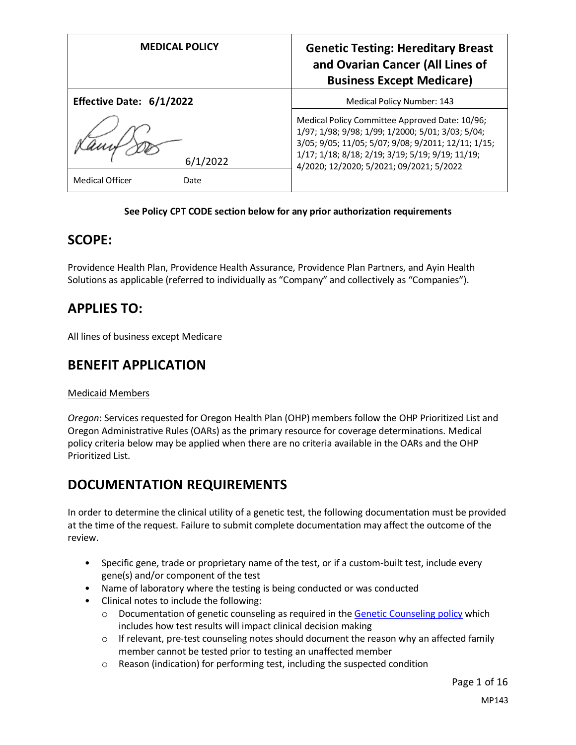| <b>MEDICAL POLICY</b>               | <b>Genetic Testing: Hereditary Breast</b><br>and Ovarian Cancer (All Lines of<br><b>Business Except Medicare)</b>                                                                                                                                          |  |  |
|-------------------------------------|------------------------------------------------------------------------------------------------------------------------------------------------------------------------------------------------------------------------------------------------------------|--|--|
| Effective Date: 6/1/2022            | <b>Medical Policy Number: 143</b>                                                                                                                                                                                                                          |  |  |
| 6/1/2022<br>Medical Officer<br>Date | Medical Policy Committee Approved Date: 10/96;<br>1/97; 1/98; 9/98; 1/99; 1/2000; 5/01; 3/03; 5/04;<br>3/05; 9/05; 11/05; 5/07; 9/08; 9/2011; 12/11; 1/15;<br>1/17; 1/18; 8/18; 2/19; 3/19; 5/19; 9/19; 11/19;<br>4/2020; 12/2020; 5/2021; 09/2021; 5/2022 |  |  |

## **See Policy CPT CODE section below for any prior authorization requirements**

## **SCOPE:**

Providence Health Plan, Providence Health Assurance, Providence Plan Partners, and Ayin Health Solutions as applicable (referred to individually as "Company" and collectively as "Companies").

## **APPLIES TO:**

All lines of business except Medicare

## **BENEFIT APPLICATION**

## Medicaid Members

*Oregon*: Services requested for Oregon Health Plan (OHP) members follow the OHP Prioritized List and Oregon Administrative Rules (OARs) as the primary resource for coverage determinations. Medical policy criteria below may be applied when there are no criteria available in the OARs and the OHP Prioritized List.

## **DOCUMENTATION REQUIREMENTS**

In order to determine the clinical utility of a genetic test, the following documentation must be provided at the time of the request. Failure to submit complete documentation may affect the outcome of the review.

- Specific gene, trade or proprietary name of the test, or if a custom-built test, include every gene(s) and/or component of the test
- Name of laboratory where the testing is being conducted or was conducted
- Clinical notes to include the following:
	- o Documentation of genetic counseling as required in th[e Genetic Counseling policy](https://www.providencehealthplan.com/-/media/providence/website/pdfs/providers/medical-policy-and-provider-information/medical-policies/genetic-counseling-all-lob-except-medicare-122021.pdf?sc_lang=en&rev=b783e30fe0af40b49818ef7e8ea55d6d&hash=6E3986357E058CBF8D9F9C3FD4C4FA18) which includes how test results will impact clinical decision making
	- $\circ$  If relevant, pre-test counseling notes should document the reason why an affected family member cannot be tested prior to testing an unaffected member
	- o Reason (indication) for performing test, including the suspected condition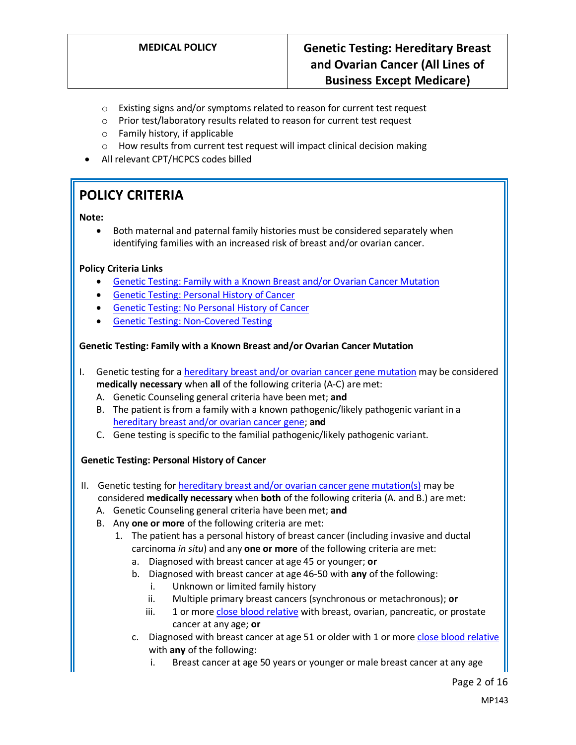- o Existing signs and/or symptoms related to reason for current test request
- o Prior test/laboratory results related to reason for current test request
- o Family history, if applicable
- o How results from current test request will impact clinical decision making
- All relevant CPT/HCPCS codes billed

## **POLICY CRITERIA**

### **Note:**

• Both maternal and paternal family histories must be considered separately when identifying families with an increased risk of breast and/or ovarian cancer.

### **Policy Criteria Links**

- [Genetic Testing: Family with a Known Breast and/or Ovarian Cancer Mutation](#page-1-0)
- [Genetic Testing: Personal History of Cancer](#page-1-1)
- [Genetic Testing: No Personal History of Cancer](#page-3-0)
- [Genetic Testing: Non-Covered Testing](#page-3-1)

### <span id="page-1-0"></span>**Genetic Testing: Family with a Known Breast and/or Ovarian Cancer Mutation**

- I. Genetic testing for [a hereditary breast and/or ovarian cancer gene mutation](#page-4-0) may be considered **medically necessary** when **all** of the following criteria (A-C) are met:
	- A. Genetic Counseling general criteria have been met; **and**
	- B. The patient is from a family with a known pathogenic/likely pathogenic variant in a [hereditary breast and/or ovarian cancer gene;](#page-4-0) **and**
	- C. Gene testing is specific to the familial pathogenic/likely pathogenic variant.

### <span id="page-1-1"></span>**Genetic Testing: Personal History of Cancer**

- II. Genetic testing fo[r hereditary breast and/or ovarian cancer gene mutation\(s\)](#page-4-0) may be considered **medically necessary** when **both** of the following criteria (A. and B.) are met:
	- A. Genetic Counseling general criteria have been met; **and**
	- B. Any **one or more** of the following criteria are met:
		- 1. The patient has a personal history of breast cancer (including invasive and ductal carcinoma *in situ*) and any **one or more** of the following criteria are met:
			- a. Diagnosed with breast cancer at age 45 or younger; **or**
			- b. Diagnosed with breast cancer at age 46-50 with **any** of the following:
				- i. Unknown or limited family history
				- ii. Multiple primary breast cancers (synchronous or metachronous); **or**
				- iii. 1 or mor[e close blood relative](#page-5-0) with breast, ovarian, pancreatic, or prostate cancer at any age; **or**
			- c. Diagnosed with breast cancer at age 51 or older with 1 or mor[e close blood relative](#page-5-0) with **any** of the following:
				- i. Breast cancer at age 50 years or younger or male breast cancer at any age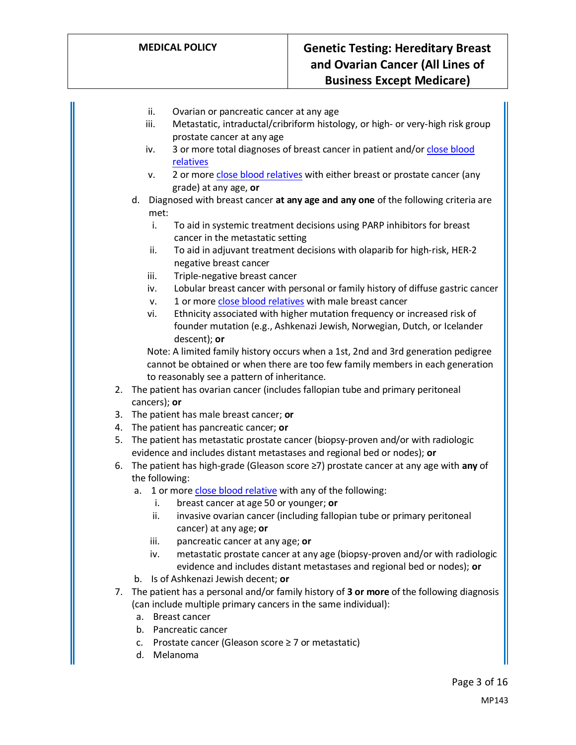- ii. Ovarian or pancreatic cancer at any age
- iii. Metastatic, intraductal/cribriform histology, or high- or very-high risk group prostate cancer at any age
- iv. 3 or more total diagnoses of breast cancer in patient and/or close blood [relatives](#page-5-0)
- v. 2 or mor[e close blood relatives](#page-5-0) with either breast or prostate cancer (any grade) at any age, **or**
- d. Diagnosed with breast cancer **at any age and any one** of the following criteria are met:
	- i. To aid in systemic treatment decisions using PARP inhibitors for breast cancer in the metastatic setting
	- ii. To aid in adjuvant treatment decisions with olaparib for high-risk, HER-2 negative breast cancer
	- iii. Triple-negative breast cancer
	- iv. Lobular breast cancer with personal or family history of diffuse gastric cancer
	- v. 1 or mor[e close blood relatives](#page-5-0) with male breast cancer
	- vi. Ethnicity associated with higher mutation frequency or increased risk of founder mutation (e.g., Ashkenazi Jewish, Norwegian, Dutch, or Icelander descent); **or**

Note: A limited family history occurs when a 1st, 2nd and 3rd generation pedigree cannot be obtained or when there are too few family members in each generation to reasonably see a pattern of inheritance.

- 2. The patient has ovarian cancer (includes fallopian tube and primary peritoneal cancers); **or**
- 3. The patient has male breast cancer; **or**
- 4. The patient has pancreatic cancer; **or**
- 5. The patient has metastatic prostate cancer (biopsy-proven and/or with radiologic evidence and includes distant metastases and regional bed or nodes); **or**
- 6. The patient has high-grade (Gleason score ≥7) prostate cancer at any age with **any** of the following:
	- a. 1 or mor[e close blood relative](#page-5-0) with any of the following:
		- i. breast cancer at age 50 or younger; **or**
		- ii. invasive ovarian cancer (including fallopian tube or primary peritoneal cancer) at any age; **or**
		- iii. pancreatic cancer at any age; **or**
		- iv. metastatic prostate cancer at any age (biopsy-proven and/or with radiologic evidence and includes distant metastases and regional bed or nodes); **or**
	- b. Is of Ashkenazi Jewish decent; **or**
- 7. The patient has a personal and/or family history of **3 or more** of the following diagnosis (can include multiple primary cancers in the same individual):
	- a. Breast cancer
	- b. Pancreatic cancer
	- c. Prostate cancer (Gleason score  $\geq$  7 or metastatic)
	- d. Melanoma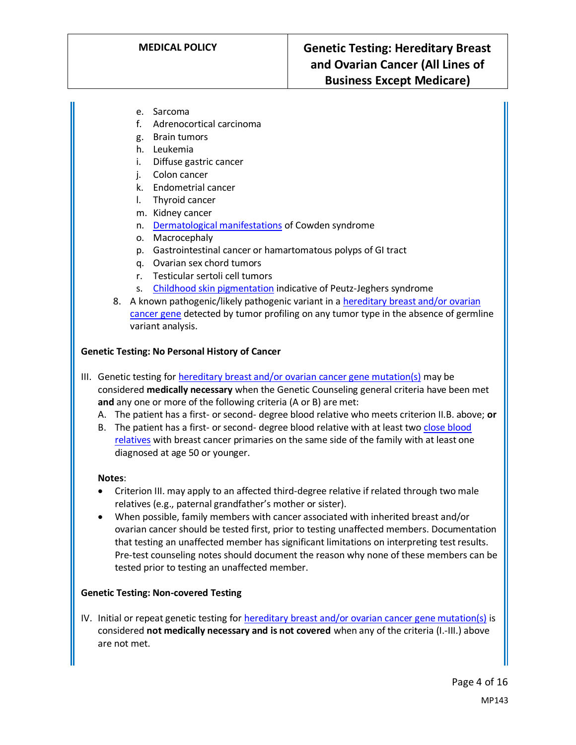- e. Sarcoma
- f. Adrenocortical carcinoma
- g. Brain tumors
- h. Leukemia
- i. Diffuse gastric cancer
- j. Colon cancer
- k. Endometrial cancer
- l. Thyroid cancer
- m. Kidney cancer
- n. [Dermatological manifestations](#page-5-1) of Cowden syndrome
- o. Macrocephaly
- p. Gastrointestinal cancer or hamartomatous polyps of GI tract
- q. Ovarian sex chord tumors
- r. Testicular sertoli cell tumors
- s. [Childhood skin pigmentation](#page-5-2) indicative of Peutz-Jeghers syndrome
- 8. A known pathogenic/likely pathogenic variant in [a hereditary breast and/or ovarian](#page-4-0)  [cancer gene](#page-4-0) detected by tumor profiling on any tumor type in the absence of germline variant analysis.

## <span id="page-3-0"></span>**Genetic Testing: No Personal History of Cancer**

- III. Genetic testing fo[r hereditary breast and/or ovarian cancer gene mutation\(s\)](#page-4-0) may be considered **medically necessary** when the Genetic Counseling general criteria have been met **and** any one or more of the following criteria (A or B) are met:
	- A. The patient has a first- or second- degree blood relative who meets criterion II.B. above; **or**
	- B. The patient has a first- or second- degree blood relative with at least tw[o close blood](#page-5-0)  [relatives](#page-5-0) with breast cancer primaries on the same side of the family with at least one diagnosed at age 50 or younger.

### **Notes**:

- Criterion III. may apply to an affected third-degree relative if related through two male relatives (e.g., paternal grandfather's mother or sister).
- When possible, family members with cancer associated with inherited breast and/or ovarian cancer should be tested first, prior to testing unaffected members. Documentation that testing an unaffected member has significant limitations on interpreting test results. Pre-test counseling notes should document the reason why none of these members can be tested prior to testing an unaffected member.

### <span id="page-3-1"></span>**Genetic Testing: Non-covered Testing**

IV. Initial or repeat genetic testing fo[r hereditary breast and/or ovarian cancer gene mutation\(s\)](#page-4-0) is considered **not medically necessary and is not covered** when any of the criteria (I.-III.) above are not met.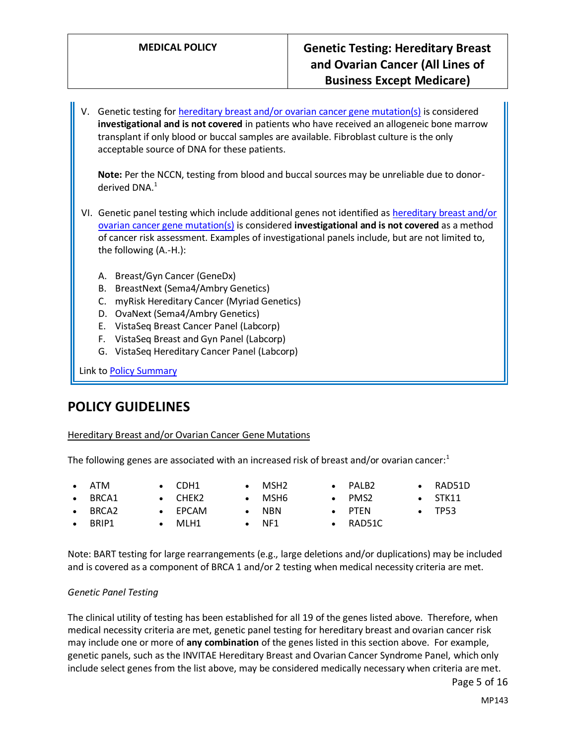V. Genetic testing fo[r hereditary breast and/or ovarian cancer gene mutation\(s\)](#page-4-0) is considered **investigational and is not covered** in patients who have received an allogeneic bone marrow transplant if only blood or buccal samples are available. Fibroblast culture is the only acceptable source of DNA for these patients.

**Note:** Per the NCCN, testing from blood and buccal sources may be unreliable due to donorderived DNA.<sup>1</sup>

- VI. Genetic panel testing which include additional genes not identified as [hereditary breast and/or](#page-4-0)  [ovarian cancer gene mutation\(s\)](#page-4-0) is considered **investigational and is not covered** as a method of cancer risk assessment. Examples of investigational panels include, but are not limited to, the following (A.-H.):
	- A. Breast/Gyn Cancer (GeneDx)
	- B. BreastNext (Sema4/Ambry Genetics)
	- C. myRisk Hereditary Cancer (Myriad Genetics)
	- D. OvaNext (Sema4/Ambry Genetics)
	- E. VistaSeq Breast Cancer Panel (Labcorp)
	- F. VistaSeq Breast and Gyn Panel (Labcorp)
	- G. VistaSeq Hereditary Cancer Panel (Labcorp)

Link t[o Policy Summary](#page-13-0)

## **POLICY GUIDELINES**

### <span id="page-4-0"></span>Hereditary Breast and/or Ovarian Cancer Gene Mutations

The following genes are associated with an increased risk of breast and/or ovarian cancer: $1$ 

| $\bullet$ ATM   | $\bullet$ CDH1  | $\bullet$ | MSH2           | $\bullet$ PALB <sub>2</sub> | $\bullet$ RAD51D |
|-----------------|-----------------|-----------|----------------|-----------------------------|------------------|
| $\bullet$ BRCA1 | $\bullet$ CHEK2 |           | $\bullet$ MSH6 | $\bullet$ PMS2              | $\bullet$ STK11  |
| $\bullet$ BRCA2 | $\bullet$ EPCAM |           | $\bullet$ NBN  | $\bullet$ PTEN              | $\bullet$ TP53   |
| $\bullet$ BRIP1 | MLH1            |           | $\bullet$ NF1  | $\bullet$ RAD51C            |                  |

Note: BART testing for large rearrangements (e.g., large deletions and/or duplications) may be included and is covered as a component of BRCA 1 and/or 2 testing when medical necessity criteria are met.

### *Genetic Panel Testing*

The clinical utility of testing has been established for all 19 of the genes listed above. Therefore, when medical necessity criteria are met, genetic panel testing for hereditary breast and ovarian cancer risk may include one or more of **any combination** of the genes listed in this section above. For example, genetic panels, such as the INVITAE Hereditary Breast and Ovarian Cancer Syndrome Panel, which only include select genes from the list above, may be considered medically necessary when criteria are met.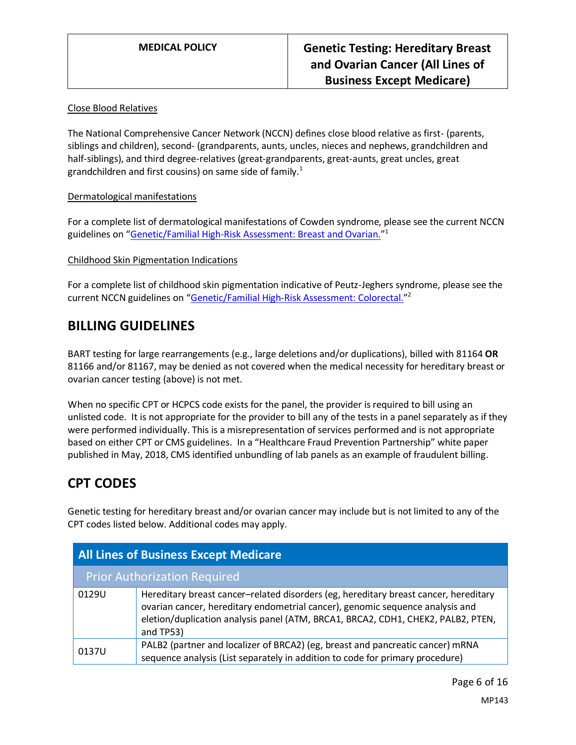## <span id="page-5-0"></span>Close Blood Relatives

The National Comprehensive Cancer Network (NCCN) defines close blood relative as first- (parents, siblings and children), second- (grandparents, aunts, uncles, nieces and nephews, grandchildren and half-siblings), and third degree-relatives (great-grandparents, great-aunts, great uncles, great grandchildren and first cousins) on same side of family.<sup>1</sup>

## <span id="page-5-1"></span>Dermatological manifestations

For a complete list of dermatological manifestations of Cowden syndrome, please see the current NCCN guidelines on "<u>[Genetic/Familial High-Risk Assessment: Breast and Ovarian.](https://www.nccn.org/professionals/physician_gls/pdf/genetics_screening.pdf)</u>"<sup>1</sup>

## <span id="page-5-2"></span>Childhood Skin Pigmentation Indications

For a complete list of childhood skin pigmentation indicative of Peutz-Jeghers syndrome, please see the current NCCN guidelines on "<u>[Genetic/Familial High-Risk Assessment: Colorectal.](https://www.nccn.org/professionals/physician_gls/pdf/genetics_colon.pdf)</u>"<sup>2</sup>

## **BILLING GUIDELINES**

BART testing for large rearrangements (e.g., large deletions and/or duplications), billed with 81164 **OR** 81166 and/or 81167, may be denied as not covered when the medical necessity for hereditary breast or ovarian cancer testing (above) is not met.

When no specific CPT or HCPCS code exists for the panel, the provider is required to bill using an unlisted code. It is not appropriate for the provider to bill any of the tests in a panel separately as if they were performed individually. This is a misrepresentation of services performed and is not appropriate based on either CPT or CMS guidelines. In a "Healthcare Fraud Prevention Partnership" white paper published in May, 2018, CMS identified unbundling of lab panels as an example of fraudulent billing.

## **CPT CODES**

Genetic testing for hereditary breast and/or ovarian cancer may include but is not limited to any of the CPT codes listed below. Additional codes may apply.

| <b>All Lines of Business Except Medicare</b> |                                                                                                                                                                                                                                                                        |  |  |
|----------------------------------------------|------------------------------------------------------------------------------------------------------------------------------------------------------------------------------------------------------------------------------------------------------------------------|--|--|
| <b>Prior Authorization Required</b>          |                                                                                                                                                                                                                                                                        |  |  |
| 0129U                                        | Hereditary breast cancer-related disorders (eg, hereditary breast cancer, hereditary<br>ovarian cancer, hereditary endometrial cancer), genomic sequence analysis and<br>eletion/duplication analysis panel (ATM, BRCA1, BRCA2, CDH1, CHEK2, PALB2, PTEN,<br>and TP53) |  |  |
| 0137U                                        | PALB2 (partner and localizer of BRCA2) (eg, breast and pancreatic cancer) mRNA<br>sequence analysis (List separately in addition to code for primary procedure)                                                                                                        |  |  |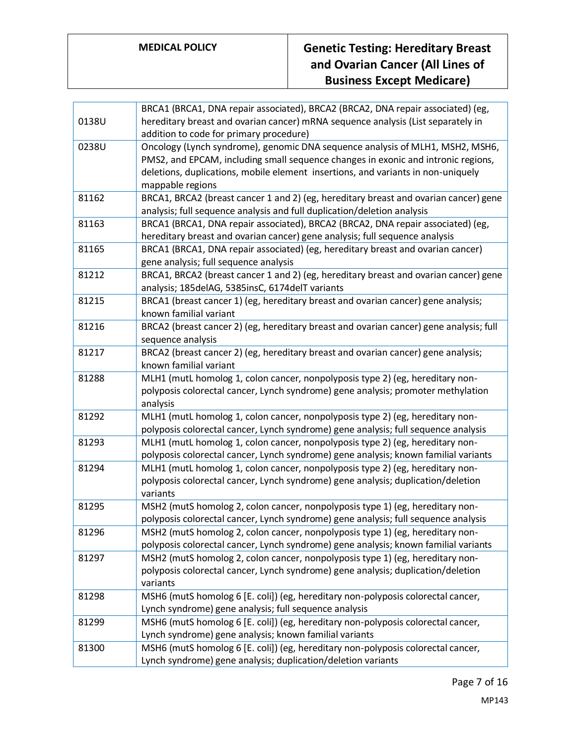|       | BRCA1 (BRCA1, DNA repair associated), BRCA2 (BRCA2, DNA repair associated) (eg,        |
|-------|----------------------------------------------------------------------------------------|
| 0138U | hereditary breast and ovarian cancer) mRNA sequence analysis (List separately in       |
|       | addition to code for primary procedure)                                                |
| 0238U | Oncology (Lynch syndrome), genomic DNA sequence analysis of MLH1, MSH2, MSH6,          |
|       | PMS2, and EPCAM, including small sequence changes in exonic and intronic regions,      |
|       | deletions, duplications, mobile element insertions, and variants in non-uniquely       |
|       | mappable regions                                                                       |
| 81162 | BRCA1, BRCA2 (breast cancer 1 and 2) (eg, hereditary breast and ovarian cancer) gene   |
|       | analysis; full sequence analysis and full duplication/deletion analysis                |
| 81163 | BRCA1 (BRCA1, DNA repair associated), BRCA2 (BRCA2, DNA repair associated) (eg,        |
|       | hereditary breast and ovarian cancer) gene analysis; full sequence analysis            |
| 81165 | BRCA1 (BRCA1, DNA repair associated) (eg, hereditary breast and ovarian cancer)        |
|       | gene analysis; full sequence analysis                                                  |
| 81212 | BRCA1, BRCA2 (breast cancer 1 and 2) (eg, hereditary breast and ovarian cancer) gene   |
|       | analysis; 185delAG, 5385insC, 6174delT variants                                        |
| 81215 | BRCA1 (breast cancer 1) (eg, hereditary breast and ovarian cancer) gene analysis;      |
|       | known familial variant                                                                 |
| 81216 | BRCA2 (breast cancer 2) (eg, hereditary breast and ovarian cancer) gene analysis; full |
|       | sequence analysis                                                                      |
| 81217 | BRCA2 (breast cancer 2) (eg, hereditary breast and ovarian cancer) gene analysis;      |
|       | known familial variant                                                                 |
| 81288 | MLH1 (mutL homolog 1, colon cancer, nonpolyposis type 2) (eg, hereditary non-          |
|       | polyposis colorectal cancer, Lynch syndrome) gene analysis; promoter methylation       |
|       | analysis                                                                               |
| 81292 | MLH1 (mutL homolog 1, colon cancer, nonpolyposis type 2) (eg, hereditary non-          |
|       | polyposis colorectal cancer, Lynch syndrome) gene analysis; full sequence analysis     |
| 81293 | MLH1 (mutL homolog 1, colon cancer, nonpolyposis type 2) (eg, hereditary non-          |
|       | polyposis colorectal cancer, Lynch syndrome) gene analysis; known familial variants    |
| 81294 | MLH1 (mutL homolog 1, colon cancer, nonpolyposis type 2) (eg, hereditary non-          |
|       | polyposis colorectal cancer, Lynch syndrome) gene analysis; duplication/deletion       |
|       | variants                                                                               |
| 81295 | MSH2 (mutS homolog 2, colon cancer, nonpolyposis type 1) (eg, hereditary non-          |
|       | polyposis colorectal cancer, Lynch syndrome) gene analysis; full sequence analysis     |
| 81296 | MSH2 (mutS homolog 2, colon cancer, nonpolyposis type 1) (eg, hereditary non-          |
|       | polyposis colorectal cancer, Lynch syndrome) gene analysis; known familial variants    |
| 81297 | MSH2 (mutS homolog 2, colon cancer, nonpolyposis type 1) (eg, hereditary non-          |
|       | polyposis colorectal cancer, Lynch syndrome) gene analysis; duplication/deletion       |
|       | variants                                                                               |
| 81298 | MSH6 (mutS homolog 6 [E. coli]) (eg, hereditary non-polyposis colorectal cancer,       |
|       | Lynch syndrome) gene analysis; full sequence analysis                                  |
| 81299 | MSH6 (mutS homolog 6 [E. coli]) (eg, hereditary non-polyposis colorectal cancer,       |
|       | Lynch syndrome) gene analysis; known familial variants                                 |
| 81300 | MSH6 (mutS homolog 6 [E. coli]) (eg, hereditary non-polyposis colorectal cancer,       |
|       | Lynch syndrome) gene analysis; duplication/deletion variants                           |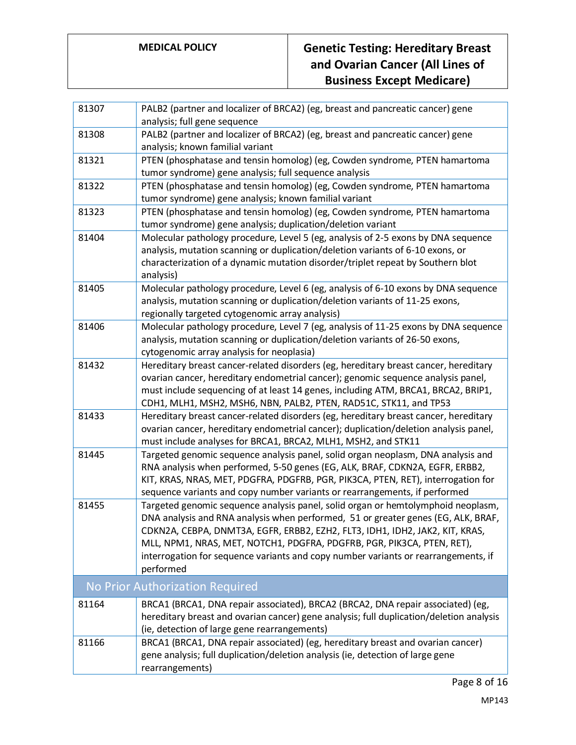| 81307 | PALB2 (partner and localizer of BRCA2) (eg, breast and pancreatic cancer) gene<br>analysis; full gene sequence                                                                                                                                                                                                                                                                                                                     |
|-------|------------------------------------------------------------------------------------------------------------------------------------------------------------------------------------------------------------------------------------------------------------------------------------------------------------------------------------------------------------------------------------------------------------------------------------|
| 81308 | PALB2 (partner and localizer of BRCA2) (eg, breast and pancreatic cancer) gene<br>analysis; known familial variant                                                                                                                                                                                                                                                                                                                 |
| 81321 | PTEN (phosphatase and tensin homolog) (eg, Cowden syndrome, PTEN hamartoma<br>tumor syndrome) gene analysis; full sequence analysis                                                                                                                                                                                                                                                                                                |
| 81322 | PTEN (phosphatase and tensin homolog) (eg, Cowden syndrome, PTEN hamartoma<br>tumor syndrome) gene analysis; known familial variant                                                                                                                                                                                                                                                                                                |
| 81323 | PTEN (phosphatase and tensin homolog) (eg, Cowden syndrome, PTEN hamartoma<br>tumor syndrome) gene analysis; duplication/deletion variant                                                                                                                                                                                                                                                                                          |
| 81404 | Molecular pathology procedure, Level 5 (eg, analysis of 2-5 exons by DNA sequence<br>analysis, mutation scanning or duplication/deletion variants of 6-10 exons, or<br>characterization of a dynamic mutation disorder/triplet repeat by Southern blot<br>analysis)                                                                                                                                                                |
| 81405 | Molecular pathology procedure, Level 6 (eg, analysis of 6-10 exons by DNA sequence<br>analysis, mutation scanning or duplication/deletion variants of 11-25 exons,<br>regionally targeted cytogenomic array analysis)                                                                                                                                                                                                              |
| 81406 | Molecular pathology procedure, Level 7 (eg, analysis of 11-25 exons by DNA sequence<br>analysis, mutation scanning or duplication/deletion variants of 26-50 exons,<br>cytogenomic array analysis for neoplasia)                                                                                                                                                                                                                   |
| 81432 | Hereditary breast cancer-related disorders (eg, hereditary breast cancer, hereditary<br>ovarian cancer, hereditary endometrial cancer); genomic sequence analysis panel,<br>must include sequencing of at least 14 genes, including ATM, BRCA1, BRCA2, BRIP1,<br>CDH1, MLH1, MSH2, MSH6, NBN, PALB2, PTEN, RAD51C, STK11, and TP53                                                                                                 |
| 81433 | Hereditary breast cancer-related disorders (eg, hereditary breast cancer, hereditary<br>ovarian cancer, hereditary endometrial cancer); duplication/deletion analysis panel,<br>must include analyses for BRCA1, BRCA2, MLH1, MSH2, and STK11                                                                                                                                                                                      |
| 81445 | Targeted genomic sequence analysis panel, solid organ neoplasm, DNA analysis and<br>RNA analysis when performed, 5-50 genes (EG, ALK, BRAF, CDKN2A, EGFR, ERBB2,<br>KIT, KRAS, NRAS, MET, PDGFRA, PDGFRB, PGR, PIK3CA, PTEN, RET), interrogation for<br>sequence variants and copy number variants or rearrangements, if performed                                                                                                 |
| 81455 | Targeted genomic sequence analysis panel, solid organ or hemtolymphoid neoplasm,<br>DNA analysis and RNA analysis when performed, 51 or greater genes (EG, ALK, BRAF,<br>CDKN2A, CEBPA, DNMT3A, EGFR, ERBB2, EZH2, FLT3, IDH1, IDH2, JAK2, KIT, KRAS,<br>MLL, NPM1, NRAS, MET, NOTCH1, PDGFRA, PDGFRB, PGR, PIK3CA, PTEN, RET),<br>interrogation for sequence variants and copy number variants or rearrangements, if<br>performed |
|       | No Prior Authorization Required                                                                                                                                                                                                                                                                                                                                                                                                    |
| 81164 | BRCA1 (BRCA1, DNA repair associated), BRCA2 (BRCA2, DNA repair associated) (eg,<br>hereditary breast and ovarian cancer) gene analysis; full duplication/deletion analysis<br>(ie, detection of large gene rearrangements)                                                                                                                                                                                                         |
| 81166 | BRCA1 (BRCA1, DNA repair associated) (eg, hereditary breast and ovarian cancer)<br>gene analysis; full duplication/deletion analysis (ie, detection of large gene<br>rearrangements)                                                                                                                                                                                                                                               |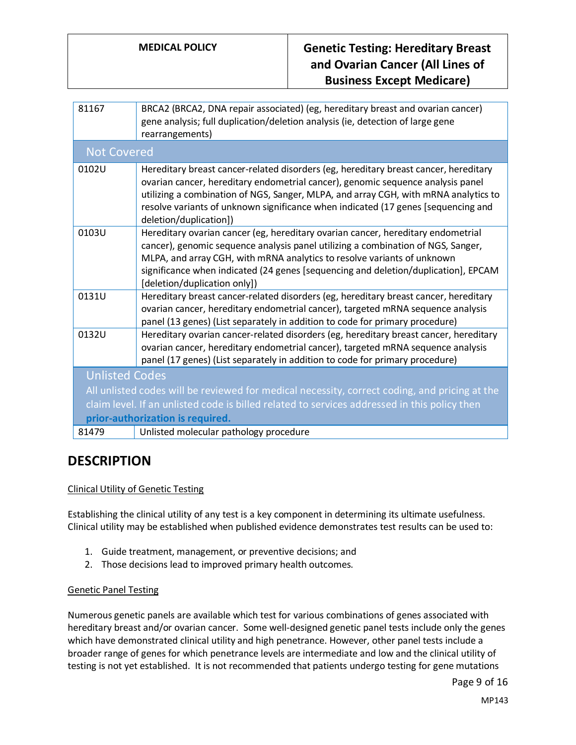| 81167                                                                                         | BRCA2 (BRCA2, DNA repair associated) (eg, hereditary breast and ovarian cancer)<br>gene analysis; full duplication/deletion analysis (ie, detection of large gene<br>rearrangements)                                                                                                                                                                                          |  |  |
|-----------------------------------------------------------------------------------------------|-------------------------------------------------------------------------------------------------------------------------------------------------------------------------------------------------------------------------------------------------------------------------------------------------------------------------------------------------------------------------------|--|--|
| <b>Not Covered</b>                                                                            |                                                                                                                                                                                                                                                                                                                                                                               |  |  |
| 0102U                                                                                         | Hereditary breast cancer-related disorders (eg, hereditary breast cancer, hereditary<br>ovarian cancer, hereditary endometrial cancer), genomic sequence analysis panel<br>utilizing a combination of NGS, Sanger, MLPA, and array CGH, with mRNA analytics to<br>resolve variants of unknown significance when indicated (17 genes [sequencing and<br>deletion/duplication]) |  |  |
| 0103U                                                                                         | Hereditary ovarian cancer (eg, hereditary ovarian cancer, hereditary endometrial<br>cancer), genomic sequence analysis panel utilizing a combination of NGS, Sanger,<br>MLPA, and array CGH, with mRNA analytics to resolve variants of unknown<br>significance when indicated (24 genes [sequencing and deletion/duplication], EPCAM<br>[deletion/duplication only])         |  |  |
| 0131U                                                                                         | Hereditary breast cancer-related disorders (eg, hereditary breast cancer, hereditary<br>ovarian cancer, hereditary endometrial cancer), targeted mRNA sequence analysis<br>panel (13 genes) (List separately in addition to code for primary procedure)                                                                                                                       |  |  |
| 0132U                                                                                         | Hereditary ovarian cancer-related disorders (eg, hereditary breast cancer, hereditary<br>ovarian cancer, hereditary endometrial cancer), targeted mRNA sequence analysis<br>panel (17 genes) (List separately in addition to code for primary procedure)                                                                                                                      |  |  |
| <b>Unlisted Codes</b>                                                                         |                                                                                                                                                                                                                                                                                                                                                                               |  |  |
| All unlisted codes will be reviewed for medical necessity, correct coding, and pricing at the |                                                                                                                                                                                                                                                                                                                                                                               |  |  |
| claim level. If an unlisted code is billed related to services addressed in this policy then  |                                                                                                                                                                                                                                                                                                                                                                               |  |  |
| prior-authorization is required.                                                              |                                                                                                                                                                                                                                                                                                                                                                               |  |  |
| 81479                                                                                         | Unlisted molecular pathology procedure                                                                                                                                                                                                                                                                                                                                        |  |  |

## **DESCRIPTION**

## Clinical Utility of Genetic Testing

Establishing the clinical utility of any test is a key component in determining its ultimate usefulness. Clinical utility may be established when published evidence demonstrates test results can be used to:

- 1. Guide treatment, management, or preventive decisions; and
- 2. Those decisions lead to improved primary health outcomes.

### Genetic Panel Testing

Numerous genetic panels are available which test for various combinations of genes associated with hereditary breast and/or ovarian cancer. Some well-designed genetic panel tests include only the genes which have demonstrated clinical utility and high penetrance. However, other panel tests include a broader range of genes for which penetrance levels are intermediate and low and the clinical utility of testing is not yet established. It is not recommended that patients undergo testing for gene mutations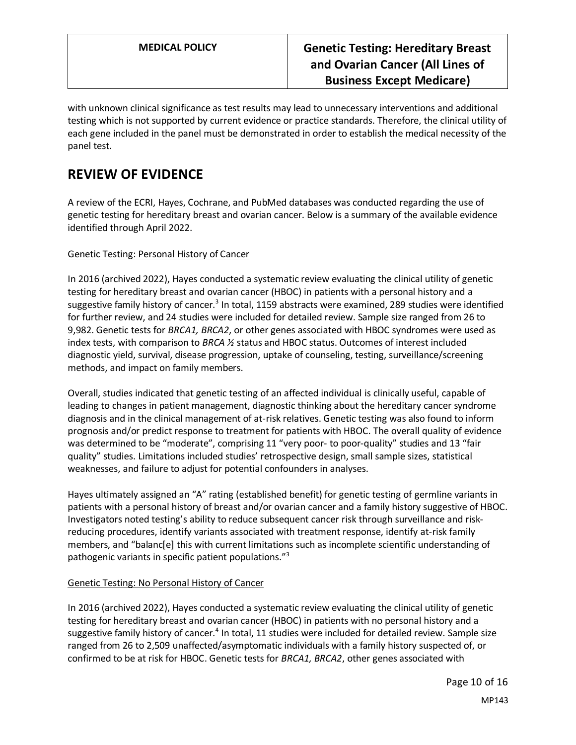with unknown clinical significance as test results may lead to unnecessary interventions and additional testing which is not supported by current evidence or practice standards. Therefore, the clinical utility of each gene included in the panel must be demonstrated in order to establish the medical necessity of the panel test.

# **REVIEW OF EVIDENCE**

A review of the ECRI, Hayes, Cochrane, and PubMed databases was conducted regarding the use of genetic testing for hereditary breast and ovarian cancer. Below is a summary of the available evidence identified through April 2022.

## Genetic Testing: Personal History of Cancer

In 2016 (archived 2022), Hayes conducted a systematic review evaluating the clinical utility of genetic testing for hereditary breast and ovarian cancer (HBOC) in patients with a personal history and a suggestive family history of cancer.<sup>3</sup> In total, 1159 abstracts were examined, 289 studies were identified for further review, and 24 studies were included for detailed review. Sample size ranged from 26 to 9,982. Genetic tests for *BRCA1, BRCA2*, or other genes associated with HBOC syndromes were used as index tests, with comparison to *BRCA ½* status and HBOC status. Outcomes of interest included diagnostic yield, survival, disease progression, uptake of counseling, testing, surveillance/screening methods, and impact on family members.

Overall, studies indicated that genetic testing of an affected individual is clinically useful, capable of leading to changes in patient management, diagnostic thinking about the hereditary cancer syndrome diagnosis and in the clinical management of at-risk relatives. Genetic testing was also found to inform prognosis and/or predict response to treatment for patients with HBOC. The overall quality of evidence was determined to be "moderate", comprising 11 "very poor- to poor-quality" studies and 13 "fair quality" studies. Limitations included studies' retrospective design, small sample sizes, statistical weaknesses, and failure to adjust for potential confounders in analyses.

Hayes ultimately assigned an "A" rating (established benefit) for genetic testing of germline variants in patients with a personal history of breast and/or ovarian cancer and a family history suggestive of HBOC. Investigators noted testing's ability to reduce subsequent cancer risk through surveillance and riskreducing procedures, identify variants associated with treatment response, identify at-risk family members, and "balanc[e] this with current limitations such as incomplete scientific understanding of pathogenic variants in specific patient populations."<sup>3</sup>

## Genetic Testing: No Personal History of Cancer

In 2016 (archived 2022), Hayes conducted a systematic review evaluating the clinical utility of genetic testing for hereditary breast and ovarian cancer (HBOC) in patients with no personal history and a suggestive family history of cancer.<sup>4</sup> In total, 11 studies were included for detailed review. Sample size ranged from 26 to 2,509 unaffected/asymptomatic individuals with a family history suspected of, or confirmed to be at risk for HBOC. Genetic tests for *BRCA1, BRCA2*, other genes associated with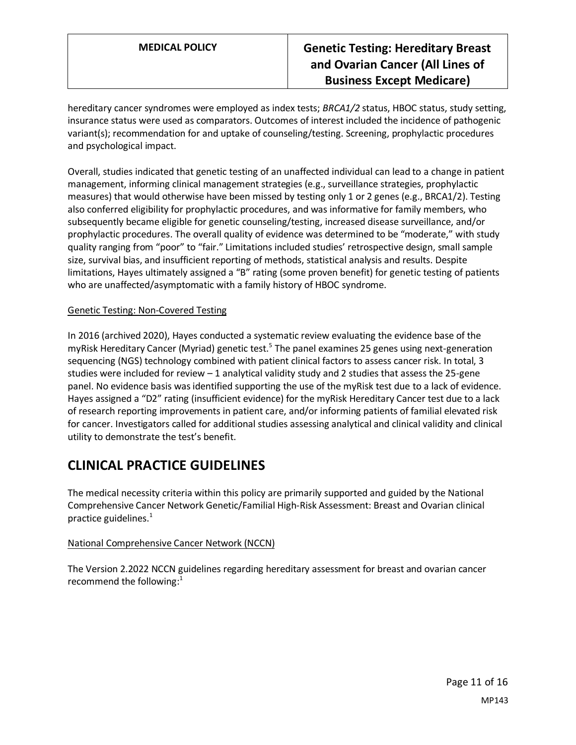hereditary cancer syndromes were employed as index tests; *BRCA1/2* status, HBOC status, study setting, insurance status were used as comparators. Outcomes of interest included the incidence of pathogenic variant(s); recommendation for and uptake of counseling/testing. Screening, prophylactic procedures and psychological impact.

Overall, studies indicated that genetic testing of an unaffected individual can lead to a change in patient management, informing clinical management strategies (e.g., surveillance strategies, prophylactic measures) that would otherwise have been missed by testing only 1 or 2 genes (e.g., BRCA1/2). Testing also conferred eligibility for prophylactic procedures, and was informative for family members, who subsequently became eligible for genetic counseling/testing, increased disease surveillance, and/or prophylactic procedures. The overall quality of evidence was determined to be "moderate," with study quality ranging from "poor" to "fair." Limitations included studies' retrospective design, small sample size, survival bias, and insufficient reporting of methods, statistical analysis and results. Despite limitations, Hayes ultimately assigned a "B" rating (some proven benefit) for genetic testing of patients who are unaffected/asymptomatic with a family history of HBOC syndrome.

## Genetic Testing: Non-Covered Testing

In 2016 (archived 2020), Hayes conducted a systematic review evaluating the evidence base of the myRisk Hereditary Cancer (Myriad) genetic test.<sup>5</sup> The panel examines 25 genes using next-generation sequencing (NGS) technology combined with patient clinical factors to assess cancer risk. In total, 3 studies were included for review – 1 analytical validity study and 2 studies that assess the 25-gene panel. No evidence basis was identified supporting the use of the myRisk test due to a lack of evidence. Hayes assigned a "D2" rating (insufficient evidence) for the myRisk Hereditary Cancer test due to a lack of research reporting improvements in patient care, and/or informing patients of familial elevated risk for cancer. Investigators called for additional studies assessing analytical and clinical validity and clinical utility to demonstrate the test's benefit.

# **CLINICAL PRACTICE GUIDELINES**

The medical necessity criteria within this policy are primarily supported and guided by the National Comprehensive Cancer Network Genetic/Familial High-Risk Assessment: Breast and Ovarian clinical practice guidelines. 1

## National Comprehensive Cancer Network (NCCN)

The Version 2.2022 NCCN guidelines regarding hereditary assessment for breast and ovarian cancer recommend the following:<sup>1</sup>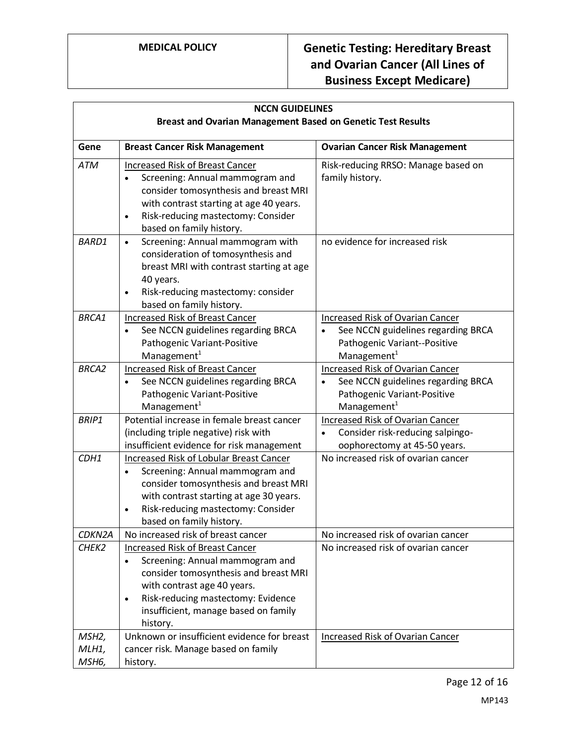| <b>NCCN GUIDELINES</b><br><b>Breast and Ovarian Management Based on Genetic Test Results</b> |                                                                                                                                                                                                                                                                       |                                                                                                                                                |  |
|----------------------------------------------------------------------------------------------|-----------------------------------------------------------------------------------------------------------------------------------------------------------------------------------------------------------------------------------------------------------------------|------------------------------------------------------------------------------------------------------------------------------------------------|--|
| Gene                                                                                         | <b>Breast Cancer Risk Management</b>                                                                                                                                                                                                                                  | <b>Ovarian Cancer Risk Management</b>                                                                                                          |  |
| ATM                                                                                          | <b>Increased Risk of Breast Cancer</b><br>Screening: Annual mammogram and<br>$\bullet$<br>consider tomosynthesis and breast MRI<br>with contrast starting at age 40 years.<br>Risk-reducing mastectomy: Consider<br>$\bullet$<br>based on family history.             | Risk-reducing RRSO: Manage based on<br>family history.                                                                                         |  |
| <b>BARD1</b>                                                                                 | Screening: Annual mammogram with<br>$\bullet$<br>consideration of tomosynthesis and<br>breast MRI with contrast starting at age<br>40 years.<br>Risk-reducing mastectomy: consider<br>$\bullet$<br>based on family history.                                           | no evidence for increased risk                                                                                                                 |  |
| <b>BRCA1</b>                                                                                 | <b>Increased Risk of Breast Cancer</b><br>See NCCN guidelines regarding BRCA<br>$\bullet$<br>Pathogenic Variant-Positive<br>Management <sup>1</sup>                                                                                                                   | Increased Risk of Ovarian Cancer<br>See NCCN guidelines regarding BRCA<br>$\bullet$<br>Pathogenic Variant--Positive<br>Management <sup>1</sup> |  |
| <b>BRCA2</b>                                                                                 | <b>Increased Risk of Breast Cancer</b><br>See NCCN guidelines regarding BRCA<br>$\bullet$<br>Pathogenic Variant-Positive<br>Management $1$                                                                                                                            | <b>Increased Risk of Ovarian Cancer</b><br>See NCCN guidelines regarding BRCA<br>Pathogenic Variant-Positive<br>Management <sup>1</sup>        |  |
| <b>BRIP1</b>                                                                                 | Potential increase in female breast cancer<br>(including triple negative) risk with<br>insufficient evidence for risk management                                                                                                                                      | <b>Increased Risk of Ovarian Cancer</b><br>Consider risk-reducing salpingo-<br>$\bullet$<br>oophorectomy at 45-50 years.                       |  |
| CDH1                                                                                         | <b>Increased Risk of Lobular Breast Cancer</b><br>Screening: Annual mammogram and<br>$\bullet$<br>consider tomosynthesis and breast MRI<br>with contrast starting at age 30 years.<br>Risk-reducing mastectomy: Consider<br>$\bullet$<br>based on family history.     | No increased risk of ovarian cancer                                                                                                            |  |
| CDKN2A                                                                                       | No increased risk of breast cancer                                                                                                                                                                                                                                    | No increased risk of ovarian cancer                                                                                                            |  |
| CHEK2                                                                                        | <b>Increased Risk of Breast Cancer</b><br>Screening: Annual mammogram and<br>$\bullet$<br>consider tomosynthesis and breast MRI<br>with contrast age 40 years.<br>Risk-reducing mastectomy: Evidence<br>$\bullet$<br>insufficient, manage based on family<br>history. | No increased risk of ovarian cancer                                                                                                            |  |
| MSH2,<br>MLH1,<br>MSH6,                                                                      | Unknown or insufficient evidence for breast<br>cancer risk. Manage based on family<br>history.                                                                                                                                                                        | <b>Increased Risk of Ovarian Cancer</b>                                                                                                        |  |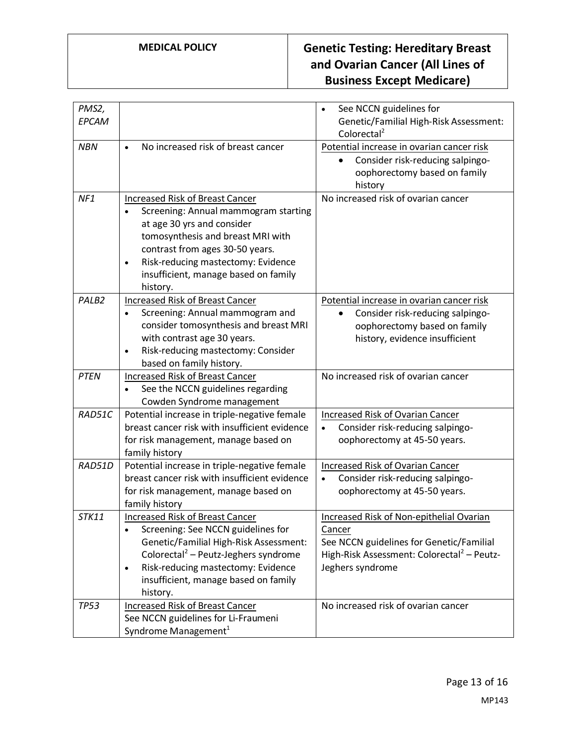| PMS2,<br>EPCAM    |                                                                                                                                                                                                                                                                                                | See NCCN guidelines for<br>$\bullet$<br>Genetic/Familial High-Risk Assessment:<br>Colorectal <sup>2</sup>                                                                    |
|-------------------|------------------------------------------------------------------------------------------------------------------------------------------------------------------------------------------------------------------------------------------------------------------------------------------------|------------------------------------------------------------------------------------------------------------------------------------------------------------------------------|
| <b>NBN</b>        | No increased risk of breast cancer<br>$\bullet$                                                                                                                                                                                                                                                | Potential increase in ovarian cancer risk<br>Consider risk-reducing salpingo-<br>$\bullet$<br>oophorectomy based on family<br>history                                        |
| NF <sub>1</sub>   | <b>Increased Risk of Breast Cancer</b><br>Screening: Annual mammogram starting<br>at age 30 yrs and consider<br>tomosynthesis and breast MRI with<br>contrast from ages 30-50 years.<br>Risk-reducing mastectomy: Evidence<br>$\bullet$<br>insufficient, manage based on family<br>history.    | No increased risk of ovarian cancer                                                                                                                                          |
| PALB <sub>2</sub> | <b>Increased Risk of Breast Cancer</b><br>Screening: Annual mammogram and<br>$\bullet$<br>consider tomosynthesis and breast MRI<br>with contrast age 30 years.<br>Risk-reducing mastectomy: Consider<br>$\bullet$<br>based on family history.                                                  | Potential increase in ovarian cancer risk<br>Consider risk-reducing salpingo-<br>oophorectomy based on family<br>history, evidence insufficient                              |
| <b>PTEN</b>       | <b>Increased Risk of Breast Cancer</b><br>See the NCCN guidelines regarding<br>Cowden Syndrome management                                                                                                                                                                                      | No increased risk of ovarian cancer                                                                                                                                          |
| RAD51C            | Potential increase in triple-negative female<br>breast cancer risk with insufficient evidence<br>for risk management, manage based on<br>family history                                                                                                                                        | Increased Risk of Ovarian Cancer<br>Consider risk-reducing salpingo-<br>$\bullet$<br>oophorectomy at 45-50 years.                                                            |
| RAD51D            | Potential increase in triple-negative female<br>breast cancer risk with insufficient evidence<br>for risk management, manage based on<br>family history                                                                                                                                        | Increased Risk of Ovarian Cancer<br>Consider risk-reducing salpingo-<br>$\bullet$<br>oophorectomy at 45-50 years.                                                            |
| <b>STK11</b>      | <b>Increased Risk of Breast Cancer</b><br>Screening: See NCCN guidelines for<br>$\bullet$<br>Genetic/Familial High-Risk Assessment:<br>Colorectal <sup>2</sup> - Peutz-Jeghers syndrome<br>Risk-reducing mastectomy: Evidence<br>$\bullet$<br>insufficient, manage based on family<br>history. | Increased Risk of Non-epithelial Ovarian<br>Cancer<br>See NCCN guidelines for Genetic/Familial<br>High-Risk Assessment: Colorectal <sup>2</sup> - Peutz-<br>Jeghers syndrome |
| <b>TP53</b>       | Increased Risk of Breast Cancer<br>See NCCN guidelines for Li-Fraumeni<br>Syndrome Management <sup>1</sup>                                                                                                                                                                                     | No increased risk of ovarian cancer                                                                                                                                          |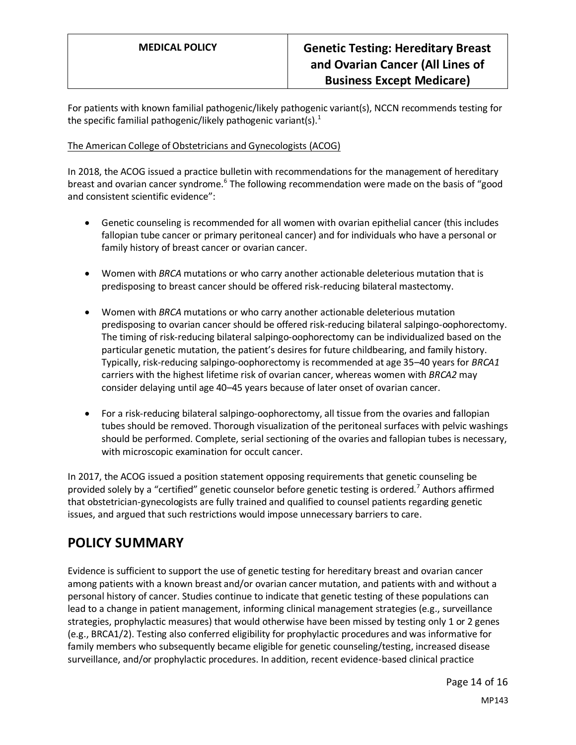For patients with known familial pathogenic/likely pathogenic variant(s), NCCN recommends testing for the specific familial pathogenic/likely pathogenic variant(s). $1$ 

## The American College of Obstetricians and Gynecologists (ACOG)

In 2018, the ACOG issued a practice bulletin with recommendations for the management of hereditary breast and ovarian cancer syndrome.<sup>6</sup> The following recommendation were made on the basis of "good and consistent scientific evidence":

- Genetic counseling is recommended for all women with ovarian epithelial cancer (this includes fallopian tube cancer or primary peritoneal cancer) and for individuals who have a personal or family history of breast cancer or ovarian cancer.
- Women with *BRCA* mutations or who carry another actionable deleterious mutation that is predisposing to breast cancer should be offered risk-reducing bilateral mastectomy.
- Women with *BRCA* mutations or who carry another actionable deleterious mutation predisposing to ovarian cancer should be offered risk-reducing bilateral salpingo-oophorectomy. The timing of risk-reducing bilateral salpingo-oophorectomy can be individualized based on the particular genetic mutation, the patient's desires for future childbearing, and family history. Typically, risk-reducing salpingo-oophorectomy is recommended at age 35–40 years for *BRCA1*  carriers with the highest lifetime risk of ovarian cancer, whereas women with *BRCA2* may consider delaying until age 40–45 years because of later onset of ovarian cancer.
- For a risk-reducing bilateral salpingo-oophorectomy, all tissue from the ovaries and fallopian tubes should be removed. Thorough visualization of the peritoneal surfaces with pelvic washings should be performed. Complete, serial sectioning of the ovaries and fallopian tubes is necessary, with microscopic examination for occult cancer.

In 2017, the ACOG issued a position statement opposing requirements that genetic counseling be provided solely by a "certified" genetic counselor before genetic testing is ordered.<sup>7</sup> Authors affirmed that obstetrician-gynecologists are fully trained and qualified to counsel patients regarding genetic issues, and argued that such restrictions would impose unnecessary barriers to care.

## <span id="page-13-0"></span>**POLICY SUMMARY**

Evidence is sufficient to support the use of genetic testing for hereditary breast and ovarian cancer among patients with a known breast and/or ovarian cancer mutation, and patients with and without a personal history of cancer. Studies continue to indicate that genetic testing of these populations can lead to a change in patient management, informing clinical management strategies (e.g., surveillance strategies, prophylactic measures) that would otherwise have been missed by testing only 1 or 2 genes (e.g., BRCA1/2). Testing also conferred eligibility for prophylactic procedures and was informative for family members who subsequently became eligible for genetic counseling/testing, increased disease surveillance, and/or prophylactic procedures. In addition, recent evidence-based clinical practice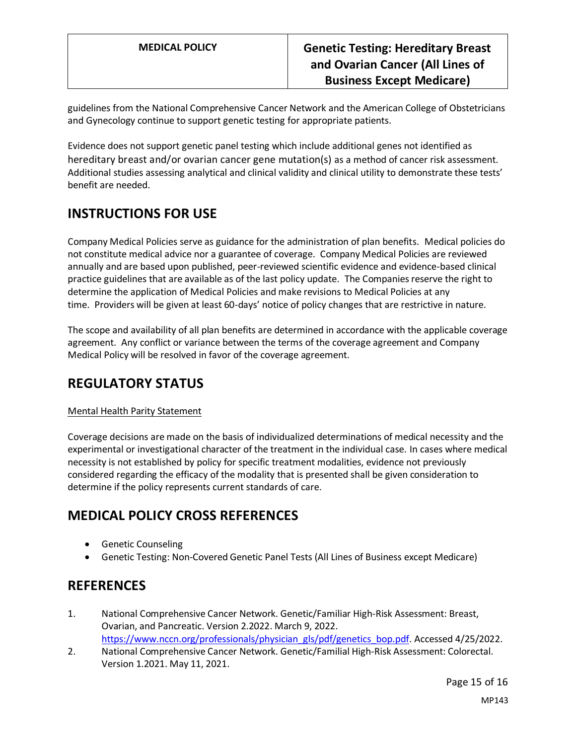guidelines from the National Comprehensive Cancer Network and the American College of Obstetricians and Gynecology continue to support genetic testing for appropriate patients.

Evidence does not support genetic panel testing which include additional genes not identified as hereditary breast and/or ovarian cancer gene mutation(s) as a method of cancer risk assessment. Additional studies assessing analytical and clinical validity and clinical utility to demonstrate these tests' benefit are needed.

# **INSTRUCTIONS FOR USE**

Company Medical Policies serve as guidance for the administration of plan benefits. Medical policies do not constitute medical advice nor a guarantee of coverage. Company Medical Policies are reviewed annually and are based upon published, peer-reviewed scientific evidence and evidence-based clinical practice guidelines that are available as of the last policy update. The Companies reserve the right to determine the application of Medical Policies and make revisions to Medical Policies at any time. Providers will be given at least 60-days' notice of policy changes that are restrictive in nature.

The scope and availability of all plan benefits are determined in accordance with the applicable coverage agreement. Any conflict or variance between the terms of the coverage agreement and Company Medical Policy will be resolved in favor of the coverage agreement.

# **REGULATORY STATUS**

## Mental Health Parity Statement

Coverage decisions are made on the basis of individualized determinations of medical necessity and the experimental or investigational character of the treatment in the individual case. In cases where medical necessity is not established by policy for specific treatment modalities, evidence not previously considered regarding the efficacy of the modality that is presented shall be given consideration to determine if the policy represents current standards of care.

# **MEDICAL POLICY CROSS REFERENCES**

- Genetic Counseling
- Genetic Testing: Non-Covered Genetic Panel Tests (All Lines of Business except Medicare)

## **REFERENCES**

- 1. National Comprehensive Cancer Network. Genetic/Familiar High-Risk Assessment: Breast, Ovarian, and Pancreatic. Version 2.2022. March 9, 2022. [https://www.nccn.org/professionals/physician\\_gls/pdf/genetics\\_bop.pdf.](https://www.nccn.org/professionals/physician_gls/pdf/genetics_bop.pdf) Accessed 4/25/2022.
- 2. National Comprehensive Cancer Network. Genetic/Familial High-Risk Assessment: Colorectal. Version 1.2021. May 11, 2021.